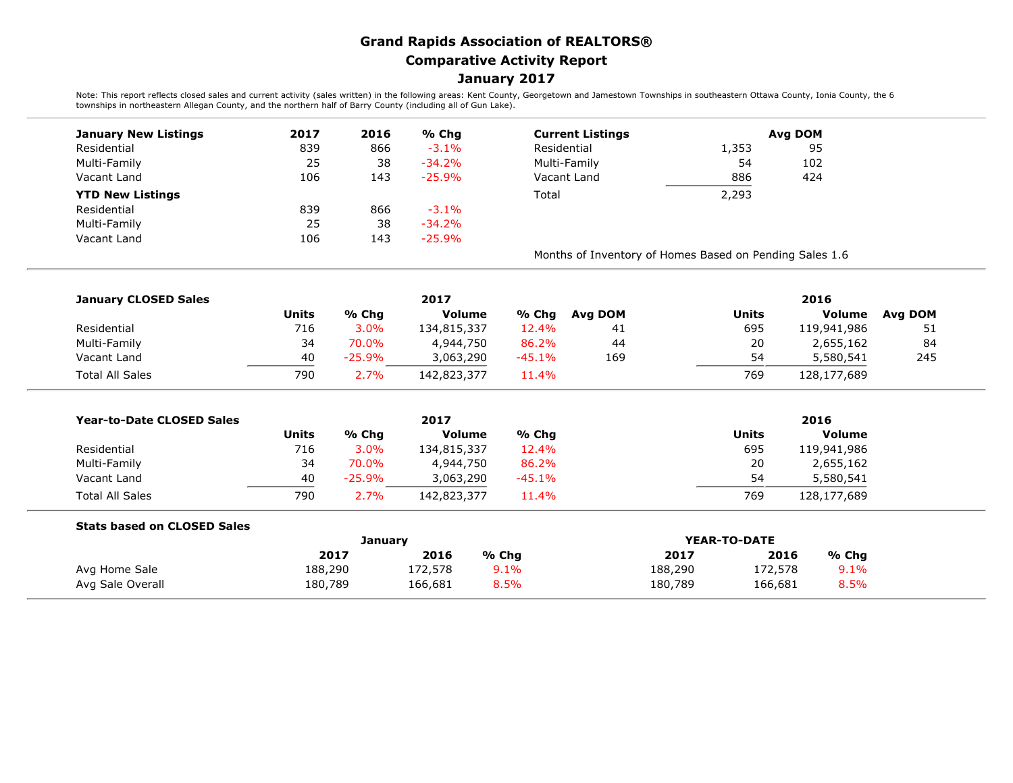## **Grand Rapids Association of REALTORS® Comparative Activity Report January 2017**

Note: This report reflects closed sales and current activity (sales written) in the following areas: Kent County, Georgetown and Jamestown Townships in southeastern Ottawa County, Ionia County, the 6<br>townships in northeast

| <b>January New Listings</b> | 2017 | 2016 | % Chg     | <b>Current Listings</b>                                 |       | Avg DOM |  |  |
|-----------------------------|------|------|-----------|---------------------------------------------------------|-------|---------|--|--|
| Residential                 | 839  | 866  | $-3.1%$   | Residential                                             | 1,353 | 95      |  |  |
| Multi-Family                | 25   | 38   | $-34.2%$  | Multi-Family                                            | 54    | 102     |  |  |
| Vacant Land                 | 106  | 143  | $-25.9\%$ | Vacant Land                                             | 886   | 424     |  |  |
| <b>YTD New Listings</b>     |      |      |           | Total                                                   | 2,293 |         |  |  |
| Residential                 | 839  | 866  | $-3.1%$   |                                                         |       |         |  |  |
| Multi-Family                | 25   | 38   | $-34.2\%$ |                                                         |       |         |  |  |
| Vacant Land                 | 106  | 143  | $-25.9\%$ |                                                         |       |         |  |  |
|                             |      |      |           | Months of Inventory of Homes Based on Pending Sales 1.6 |       |         |  |  |

| <b>January CLOSED Sales</b> |              |          | 2017          |          | 2016    |       |             |         |
|-----------------------------|--------------|----------|---------------|----------|---------|-------|-------------|---------|
|                             | <b>Units</b> | % Chg    | <b>Volume</b> | % Chg    | Ava DOM | Units | Volume      | Ava DOM |
| Residential                 | 716          | 3.0%     | 134,815,337   | 12.4%    | 41      | 695   | 119,941,986 | 51      |
| Multi-Family                | 34           | 70.0%    | 4,944,750     | 86.2%    | 44      | 20    | 2,655,162   | 84      |
| Vacant Land                 | 40           | $-25.9%$ | 3,063,290     | $-45.1%$ | 169     | 54    | 5,580,541   | 245     |
| <b>Total All Sales</b>      | 790          | 2.7%     | 142,823,377   | 11.4%    |         | 769   | 128,177,689 |         |

| <b>Year-to-Date CLOSED Sales</b> |       |          | 2017          | 2016     |       |               |
|----------------------------------|-------|----------|---------------|----------|-------|---------------|
|                                  | Units | % Chg    | <b>Volume</b> | % Chq    | Units | <b>Volume</b> |
| Residential                      | 716   | 3.0%     | 134,815,337   | 12.4%    | 695   | 119,941,986   |
| Multi-Family                     | 34    | 70.0%    | 4,944,750     | 86.2%    | 20    | 2,655,162     |
| Vacant Land                      | 40    | $-25.9%$ | 3,063,290     | $-45.1%$ | 54    | 5,580,541     |
| <b>Total All Sales</b>           | 790   | 2.7%     | 142,823,377   | 11.4%    | 769   | 128,177,689   |

## **Stats based on CLOSED Sales**

|                  |         | January |       | YEAR-TO-DATE |         |       |  |
|------------------|---------|---------|-------|--------------|---------|-------|--|
|                  | 2017    | 2016    | % Chg | 2017         | 2016    | % Chg |  |
| Avg Home Sale    | 188,290 | 172,578 | 9.1%  | 188,290      | 172,578 | 9.1%  |  |
| Avg Sale Overall | 180,789 | 166,681 | 8.5%  | 180,789      | 166,681 | 8.5%  |  |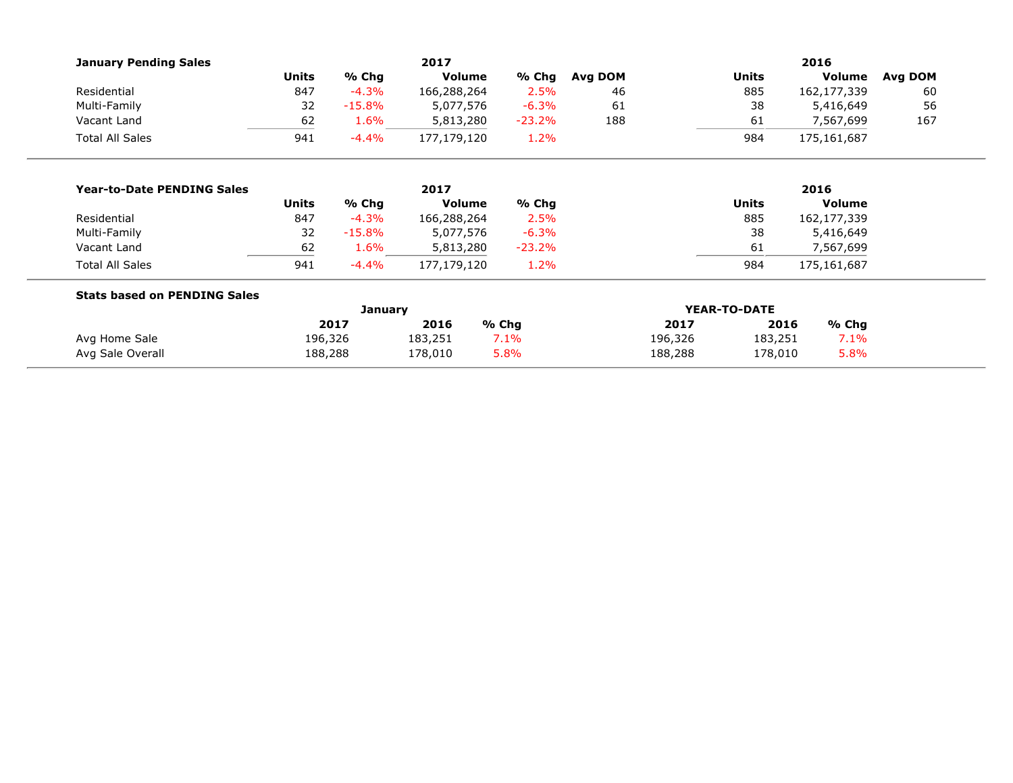| <b>January Pending Sales</b>        |              |          | 2017          |          | 2016         |         |                 |               |         |  |
|-------------------------------------|--------------|----------|---------------|----------|--------------|---------|-----------------|---------------|---------|--|
|                                     | <b>Units</b> | % Chg    | <b>Volume</b> | % Chg    | Avg DOM      |         | <b>Units</b>    | Volume        | Avg DOM |  |
| Residential                         | 847          | $-4.3%$  | 166,288,264   | 2.5%     | 46           | 885     |                 | 162,177,339   | 60      |  |
| Multi-Family                        | 32           | $-15.8%$ | 5,077,576     | $-6.3%$  | 61           |         | 38              | 5,416,649     | 56      |  |
| Vacant Land                         | 62           | 1.6%     | 5,813,280     | $-23.2%$ | 188          |         | 61              | 7,567,699     | 167     |  |
| <b>Total All Sales</b>              | 941          | $-4.4%$  | 177,179,120   | 1.2%     |              |         | 984             | 175,161,687   |         |  |
|                                     |              |          |               |          |              |         |                 |               |         |  |
| <b>Year-to-Date PENDING Sales</b>   |              |          | 2017          |          |              |         |                 | 2016          |         |  |
|                                     | <b>Units</b> | % Chg    | <b>Volume</b> | % Chg    |              |         | <b>Units</b>    | <b>Volume</b> |         |  |
| Residential                         | 847          | $-4.3%$  | 166,288,264   | 2.5%     |              |         | 885             | 162,177,339   |         |  |
| Multi-Family                        | 32           | $-15.8%$ | 5,077,576     | $-6.3%$  |              |         | 38              | 5,416,649     |         |  |
| Vacant Land                         | 62           | 1.6%     | 5,813,280     | $-23.2%$ |              |         | 61<br>7,567,699 |               |         |  |
| <b>Total All Sales</b>              | 941          | $-4.4%$  | 177,179,120   | 1.2%     |              |         | 984             | 175,161,687   |         |  |
| <b>Stats based on PENDING Sales</b> |              |          |               |          |              |         |                 |               |         |  |
|                                     |              | January  |               |          | YEAR-TO-DATE |         |                 |               |         |  |
|                                     |              | 2017     | 2016          | % Chg    |              | 2017    | 2016            | % Chg         |         |  |
| Avg Home Sale                       | 196,326      |          | 183,251       | 7.1%     |              | 196,326 | 183,251         | 7.1%          |         |  |
| Avg Sale Overall                    | 188,288      |          | 178,010       | 5.8%     |              | 188,288 | 178,010         | 5.8%          |         |  |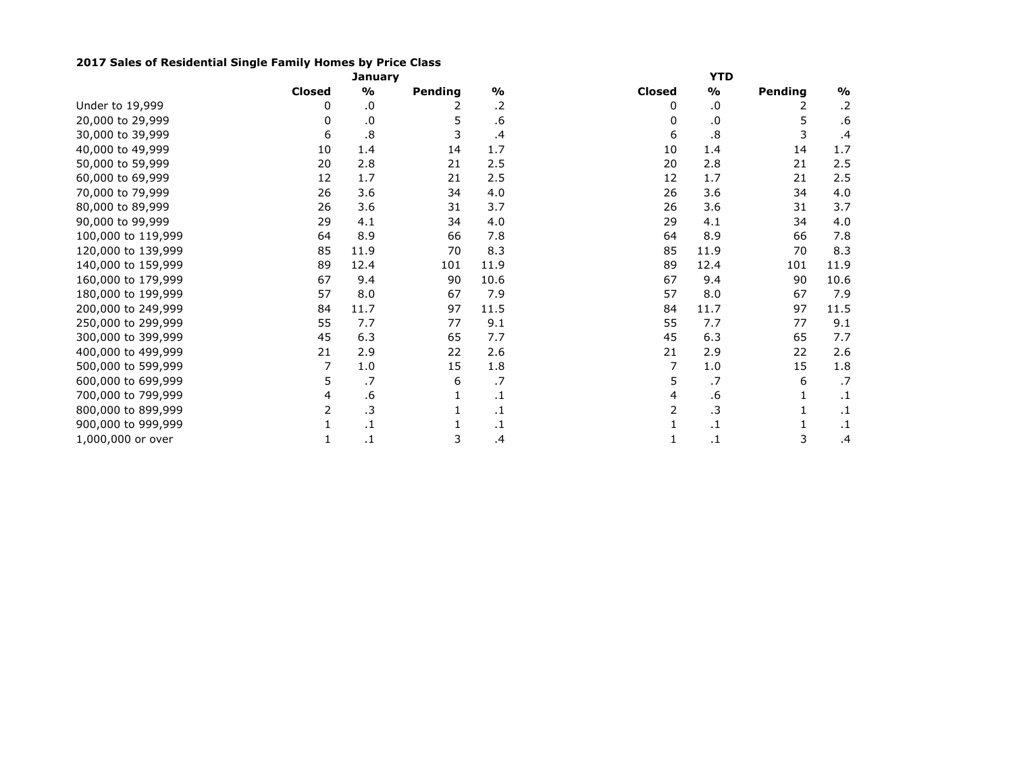## **2017 Sales of Residential Single Family Homes by Price Class**

|                    | <b>January</b> |               |         |               | <b>YTD</b>    |           |         |               |  |  |
|--------------------|----------------|---------------|---------|---------------|---------------|-----------|---------|---------------|--|--|
|                    | <b>Closed</b>  | $\frac{9}{0}$ | Pending | $\frac{9}{0}$ | <b>Closed</b> | %         | Pending | $\frac{1}{2}$ |  |  |
| Under to 19,999    | 0              | .0            | 2       | .2            | 0             | .0        | 2       | $\cdot$ .2    |  |  |
| 20,000 to 29,999   | 0              | .0            | 5       | .6            | 0             | .0        | 5       | .6            |  |  |
| 30,000 to 39,999   | 6              | .8            | 3       | .4            | 6             | .8        | 3       | .4            |  |  |
| 40,000 to 49,999   | 10             | 1.4           | 14      | 1.7           | 10            | 1.4       | 14      | 1.7           |  |  |
| 50,000 to 59,999   | 20             | 2.8           | 21      | 2.5           | 20            | 2.8       | 21      | 2.5           |  |  |
| 60,000 to 69,999   | 12             | 1.7           | 21      | 2.5           | 12            | 1.7       | 21      | 2.5           |  |  |
| 70,000 to 79,999   | 26             | 3.6           | 34      | 4.0           | 26            | 3.6       | 34      | 4.0           |  |  |
| 80,000 to 89,999   | 26             | 3.6           | 31      | 3.7           | 26            | 3.6       | 31      | 3.7           |  |  |
| 90,000 to 99,999   | 29             | 4.1           | 34      | 4.0           | 29            | 4.1       | 34      | 4.0           |  |  |
| 100,000 to 119,999 | 64             | 8.9           | 66      | 7.8           | 64            | 8.9       | 66      | 7.8           |  |  |
| 120,000 to 139,999 | 85             | 11.9          | 70      | 8.3           | 85            | 11.9      | 70      | 8.3           |  |  |
| 140,000 to 159,999 | 89             | 12.4          | 101     | 11.9          | 89            | 12.4      | 101     | 11.9          |  |  |
| 160,000 to 179,999 | 67             | 9.4           | 90      | 10.6          | 67            | 9.4       | 90      | 10.6          |  |  |
| 180,000 to 199,999 | 57             | 8.0           | 67      | 7.9           | 57            | 8.0       | 67      | 7.9           |  |  |
| 200,000 to 249,999 | 84             | 11.7          | 97      | 11.5          | 84            | 11.7      | 97      | 11.5          |  |  |
| 250,000 to 299,999 | 55             | 7.7           | 77      | 9.1           | 55            | 7.7       | 77      | 9.1           |  |  |
| 300,000 to 399,999 | 45             | 6.3           | 65      | 7.7           | 45            | 6.3       | 65      | 7.7           |  |  |
| 400,000 to 499,999 | 21             | 2.9           | 22      | 2.6           | 21            | 2.9       | 22      | 2.6           |  |  |
| 500,000 to 599,999 | 7              | $1.0$         | 15      | 1.8           | 7             | 1.0       | 15      | 1.8           |  |  |
| 600,000 to 699,999 | 5.             | .7            | 6       | .7            | 5.            | .7        | 6       | .7            |  |  |
| 700,000 to 799,999 | 4              | .6            |         | $\cdot$ 1     | 4             | .6        |         | $\cdot$ 1     |  |  |
| 800,000 to 899,999 | 2              | $\cdot$ 3     |         | .1            | 2             | $\cdot$ 3 |         | $\cdot$ 1     |  |  |
| 900,000 to 999,999 |                | $\cdot$ 1     |         | $\cdot$ 1     |               | .1        |         | $\cdot$ 1     |  |  |
| 1,000,000 or over  |                | $\cdot$ 1     | 3       | $\cdot$       |               | .1        | 3       | $\cdot$       |  |  |